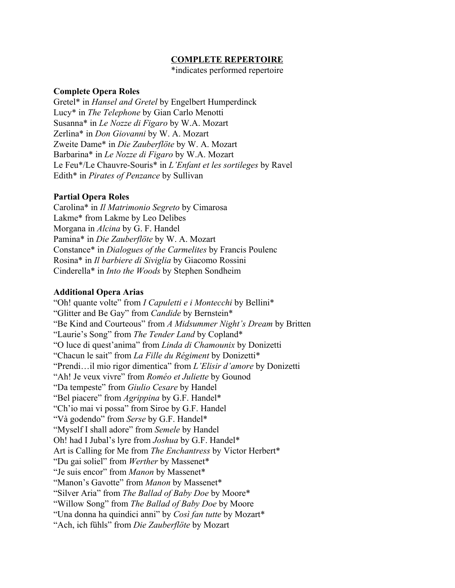# **COMPLETE REPERTOIRE**

\*indicates performed repertoire

## **Complete Opera Roles**

Gretel\* in *Hansel and Gretel* by Engelbert Humperdinck Lucy\* in *The Telephone* by Gian Carlo Menotti Susanna\* in *Le Nozze di Figaro* by W.A. Mozart Zerlina\* in *Don Giovanni* by W. A. Mozart Zweite Dame\* in *Die Zauberflöte* by W. A. Mozart Barbarina\* in *Le Nozze di Figaro* by W.A. Mozart Le Feu\*/Le Chauvre-Souris\* in *L'Enfant et les sortileges* by Ravel Edith\* in *Pirates of Penzance* by Sullivan

## **Partial Opera Roles**

Carolina\* in *Il Matrimonio Segreto* by Cimarosa Lakme\* from Lakme by Leo Delibes Morgana in *Alcina* by G. F. Handel Pamina\* in *Die Zauberflöte* by W. A. Mozart Constance\* in *Dialogues of the Carmelites* by Francis Poulenc Rosina\* in *Il barbiere di Siviglia* by Giacomo Rossini Cinderella\* in *Into the Woods* by Stephen Sondheim

### **Additional Opera Arias**

"Oh! quante volte" from *I Capuletti e i Montecchi* by Bellini\* "Glitter and Be Gay" from *Candide* by Bernstein\* "Be Kind and Courteous" from *A Midsummer Night's Dream* by Britten "Laurie's Song" from *The Tender Land* by Copland\* "O luce di quest'anima" from *Linda di Chamounix* by Donizetti "Chacun le sait" from *La Fille du Régiment* by Donizetti\* "Prendi…il mio rigor dimentica" from *L'Elisir d'amore* by Donizetti "Ah! Je veux vivre" from *Roméo et Juliette* by Gounod "Da tempeste" from *Giulio Cesare* by Handel "Bel piacere" from *Agrippina* by G.F. Handel\* "Ch'io mai vi possa" from Siroe by G.F. Handel "Và godendo" from *Serse* by G.F. Handel\* "Myself I shall adore" from *Semele* by Handel Oh! had I Jubal's lyre from *Joshua* by G.F. Handel\* Art is Calling for Me from *The Enchantress* by Victor Herbert\* "Du gai soliel" from *Werther* by Massenet\* "Je suis encor" from *Manon* by Massenet\* "Manon's Gavotte" from *Manon* by Massenet\* "Silver Aria" from *The Ballad of Baby Doe* by Moore\* "Willow Song" from *The Ballad of Baby Doe* by Moore "Una donna ha quindici anni" by *Così fan tutte* by Mozart\* "Ach, ich fühls" from *Die Zauberflöte* by Mozart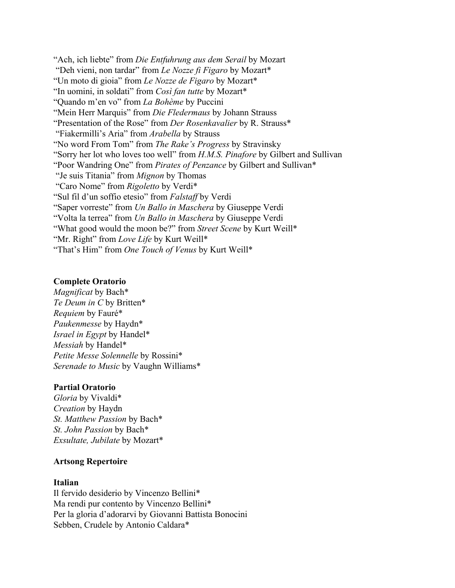"Ach, ich liebte" from *Die Entfuhrung aus dem Serail* by Mozart "Deh vieni, non tardar" from *Le Nozze fi Figaro* by Mozart\* "Un moto di gioia" from *Le Nozze de Figaro* by Mozart\* "In uomini, in soldati" from *Così fan tutte* by Mozart\* "Quando m'en vo" from *La Bohème* by Puccini "Mein Herr Marquis" from *Die Fledermaus* by Johann Strauss "Presentation of the Rose" from *Der Rosenkavalier* by R. Strauss\* "Fiakermilli's Aria" from *Arabella* by Strauss "No word From Tom" from *The Rake's Progress* by Stravinsky "Sorry her lot who loves too well" from *H.M.S. Pinafore* by Gilbert and Sullivan "Poor Wandring One" from *Pirates of Penzance* by Gilbert and Sullivan\* "Je suis Titania" from *Mignon* by Thomas "Caro Nome" from *Rigoletto* by Verdi\* "Sul fil d'un soffio etesio" from *Falstaf* by Verdi "Saper vorreste" from *Un Ballo in Maschera* by Giuseppe Verdi "Volta la terrea" from *Un Ballo in Maschera* by Giuseppe Verdi "What good would the moon be?" from *Street Scene* by Kurt Weill\* "Mr. Right" from *Love Life* by Kurt Weill\* "That's Him" from *One Touch of Venus* by Kurt Weill\*

# **Complete Oratorio**

*Magnificat* by Bach\* *Te Deum in C* by Britten\* *Requiem* by Fauré\* *Paukenmesse* by Haydn\* *Israel in Egypt* by Handel\* *Messiah* by Handel\* *Petite Messe Solennelle* by Rossini\* *Serenade to Music* by Vaughn Williams\*

#### **Partial Oratorio**

*Gloria* by Vivaldi\* *Creation* by Haydn *St. Matthew Passion* by Bach\* *St. John Passion* by Bach\* *Exsultate, Jubilate* by Mozart\*

# **Artsong Repertoire**

#### **Italian**

Il fervido desiderio by Vincenzo Bellini\* Ma rendi pur contento by Vincenzo Bellini\* Per la gloria d'adorarvi by Giovanni Battista Bonocini Sebben, Crudele by Antonio Caldara\*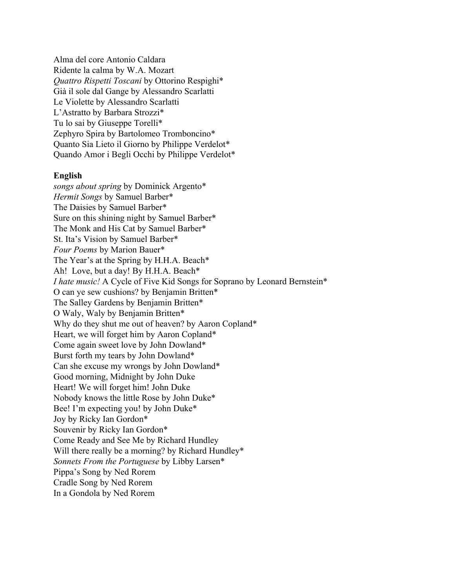Alma del core Antonio Caldara Ridente la calma by W.A. Mozart *Quattro Rispetti Toscani* by Ottorino Respighi\* Già il sole dal Gange by Alessandro Scarlatti Le Violette by Alessandro Scarlatti L'Astratto by Barbara Strozzi\* Tu lo sai by Giuseppe Torelli\* Zephyro Spira by Bartolomeo Tromboncino\* Quanto Sia Lieto il Giorno by Philippe Verdelot\* Quando Amor i Begli Occhi by Philippe Verdelot\*

#### **English**

*songs about spring* by Dominick Argento\* *Hermit Songs* by Samuel Barber\* The Daisies by Samuel Barber\* Sure on this shining night by Samuel Barber\* The Monk and His Cat by Samuel Barber\* St. Ita's Vision by Samuel Barber\* *Four Poems* by Marion Bauer\* The Year's at the Spring by H.H.A. Beach\* Ah! Love, but a day! By H.H.A. Beach\* *I hate music!* A Cycle of Five Kid Songs for Soprano by Leonard Bernstein\* O can ye sew cushions? by Benjamin Britten\* The Salley Gardens by Benjamin Britten\* O Waly, Waly by Benjamin Britten\* Why do they shut me out of heaven? by Aaron Copland\* Heart, we will forget him by Aaron Copland\* Come again sweet love by John Dowland\* Burst forth my tears by John Dowland\* Can she excuse my wrongs by John Dowland\* Good morning, Midnight by John Duke Heart! We will forget him! John Duke Nobody knows the little Rose by John Duke\* Bee! I'm expecting you! by John Duke\* Joy by Ricky Ian Gordon\* Souvenir by Ricky Ian Gordon\* Come Ready and See Me by Richard Hundley Will there really be a morning? by Richard Hundley\* *Sonnets From the Portuguese* by Libby Larsen\* Pippa's Song by Ned Rorem Cradle Song by Ned Rorem In a Gondola by Ned Rorem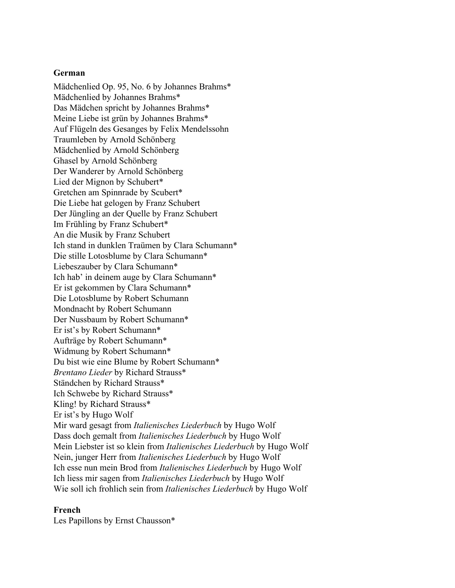### **German**

Mädchenlied Op. 95, No. 6 by Johannes Brahms\* Mädchenlied by Johannes Brahms\* Das Mädchen spricht by Johannes Brahms\* Meine Liebe ist grün by Johannes Brahms\* Auf Flügeln des Gesanges by Felix Mendelssohn Traumleben by Arnold Schönberg Mädchenlied by Arnold Schönberg Ghasel by Arnold Schönberg Der Wanderer by Arnold Schönberg Lied der Mignon by Schubert\* Gretchen am Spinnrade by Scubert\* Die Liebe hat gelogen by Franz Schubert Der Jüngling an der Quelle by Franz Schubert Im Frühling by Franz Schubert\* An die Musik by Franz Schubert Ich stand in dunklen Traümen by Clara Schumann\* Die stille Lotosblume by Clara Schumann\* Liebeszauber by Clara Schumann\* Ich hab' in deinem auge by Clara Schumann\* Er ist gekommen by Clara Schumann\* Die Lotosblume by Robert Schumann Mondnacht by Robert Schumann Der Nussbaum by Robert Schumann\* Er ist's by Robert Schumann\* Aufträge by Robert Schumann\* Widmung by Robert Schumann\* Du bist wie eine Blume by Robert Schumann\* *Brentano Lieder* by Richard Strauss\* Ständchen by Richard Strauss\* Ich Schwebe by Richard Strauss\* Kling! by Richard Strauss\* Er ist's by Hugo Wolf Mir ward gesagt from *Italienisches Liederbuch* by Hugo Wolf Dass doch gemalt from *Italienisches Liederbuch* by Hugo Wolf Mein Liebster ist so klein from *Italienisches Liederbuch* by Hugo Wolf Nein, junger Herr from *Italienisches Liederbuch* by Hugo Wolf Ich esse nun mein Brod from *Italienisches Liederbuch* by Hugo Wolf Ich liess mir sagen from *Italienisches Liederbuch* by Hugo Wolf Wie soll ich frohlich sein from *Italienisches Liederbuch* by Hugo Wolf

#### **French**

Les Papillons by Ernst Chausson\*